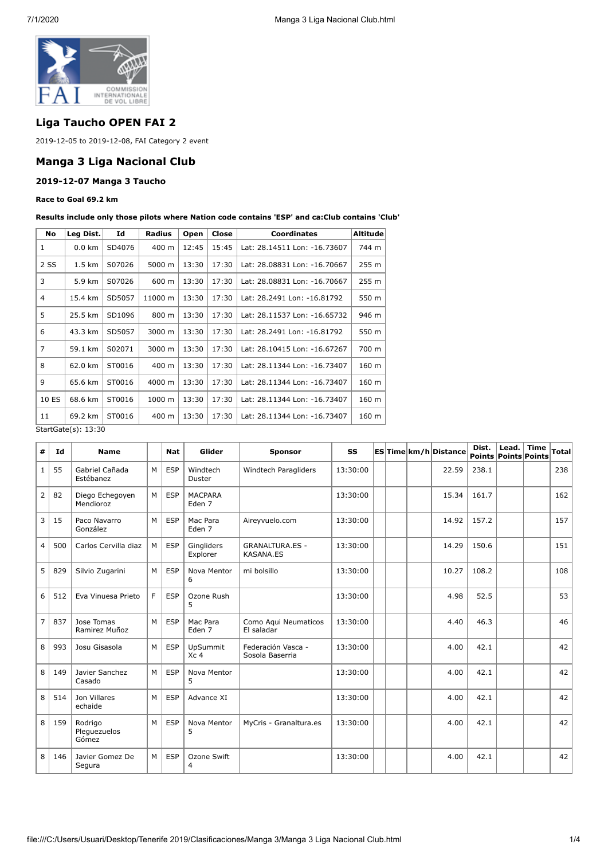

# **Liga Taucho OPEN FAI 2**

2019-12-05 to 2019-12-08, FAI Category 2 event

### **Manga 3 Liga Nacional Club**

### **2019-12-07 Manga 3 Taucho**

#### **Race to Goal 69.2 km**

**Results include only those pilots where Nation code contains 'ESP' and ca:Club contains 'Club'**

| No                         | Leg Dist.        | Id     | Radius  | Open  | Close | <b>Coordinates</b>           | Altitude l |  |  |
|----------------------------|------------------|--------|---------|-------|-------|------------------------------|------------|--|--|
| 1                          | $0.0 \text{ km}$ | SD4076 | 400 m   | 12:45 | 15:45 | Lat: 28.14511 Lon: -16.73607 | 744 m      |  |  |
| 2 SS                       | 1.5 km           | S07026 | 5000 m  | 13:30 | 17:30 | Lat: 28.08831 Lon: -16.70667 | 255 m      |  |  |
| 3                          | 5.9 km           | S07026 | 600 m   | 13:30 | 17:30 | Lat: 28.08831 Lon: -16.70667 | 255 m      |  |  |
| 4                          | 15.4 km          | SD5057 | 11000 m | 13:30 | 17:30 | Lat: 28.2491 Lon: -16.81792  | 550 m      |  |  |
| 5                          | 25.5 km          | SD1096 | 800 m   | 13:30 | 17:30 | Lat: 28.11537 Lon: -16.65732 | 946 m      |  |  |
| 6                          | 43.3 km          | SD5057 | 3000 m  | 13:30 | 17:30 | Lat: 28.2491 Lon: -16.81792  | 550 m      |  |  |
| $\overline{7}$             | 59.1 km          | S02071 | 3000 m  | 13:30 | 17:30 | Lat: 28.10415 Lon: -16.67267 | 700 m      |  |  |
| 8                          | 62.0 km          | ST0016 | 400 m   | 13:30 | 17:30 | Lat: 28.11344 Lon: -16.73407 | 160 m      |  |  |
| 9                          | 65.6 km          | ST0016 | 4000 m  | 13:30 | 17:30 | Lat: 28.11344 Lon: -16.73407 | 160 m      |  |  |
| 10 ES                      | 68.6 km          | ST0016 | 1000 m  | 13:30 | 17:30 | Lat: 28.11344 Lon: -16.73407 | 160 m      |  |  |
| 11                         | 69.2 km          | ST0016 | 400 m   | 13:30 | 17:30 | Lat: 28.11344 Lon: -16.73407 | 160 m      |  |  |
| $StartGate(c) \cdot 13.30$ |                  |        |         |       |       |                              |            |  |  |

StartGate(s): 13:30

| #              | Id  | <b>Name</b>                      |   | <b>Nat</b> | Glider                             | Sponsor                                    | SS       |  | ES Time km/h Distance | Dist.<br><b>Points Points Points</b> | Lead. | <b>Time</b> | <b>Total</b> |
|----------------|-----|----------------------------------|---|------------|------------------------------------|--------------------------------------------|----------|--|-----------------------|--------------------------------------|-------|-------------|--------------|
| $\mathbf{1}$   | 55  | Gabriel Cañada<br>Estébanez      | M | <b>ESP</b> | Windtech<br>Duster                 | Windtech Paragliders                       | 13:30:00 |  | 22.59                 | 238.1                                |       |             | 238          |
| $\overline{2}$ | 82  | Diego Echegoyen<br>Mendioroz     | M | <b>ESP</b> | <b>MACPARA</b><br>Eden 7           |                                            | 13:30:00 |  | 15.34                 | 161.7                                |       |             | 162          |
| 3              | 15  | Paco Navarro<br>González         | M | <b>ESP</b> | Mac Para<br>Eden <sub>7</sub>      | Aireyvuelo.com                             | 13:30:00 |  | 14.92                 | 157.2                                |       |             | 157          |
| $\overline{4}$ | 500 | Carlos Cervilla diaz             | M | <b>ESP</b> | Ginaliders<br>Explorer             | <b>GRANALTURA.ES -</b><br><b>KASANA.ES</b> | 13:30:00 |  | 14.29                 | 150.6                                |       |             | 151          |
| 5              | 829 | Silvio Zugarini                  | M | <b>ESP</b> | Nova Mentor<br>6                   | mi bolsillo                                | 13:30:00 |  | 10.27                 | 108.2                                |       |             | 108          |
| 6              | 512 | Eva Vinuesa Prieto               | F | <b>ESP</b> | Ozone Rush<br>5                    |                                            | 13:30:00 |  | 4.98                  | 52.5                                 |       |             | 53           |
| $\overline{7}$ | 837 | Jose Tomas<br>Ramirez Muñoz      | M | ESP        | Mac Para<br>Eden 7                 | Como Aqui Neumaticos<br>El saladar         | 13:30:00 |  | 4.40                  | 46.3                                 |       |             | 46           |
| 8              | 993 | Josu Gisasola                    | M | <b>ESP</b> | <b>UpSummit</b><br>Xc <sub>4</sub> | Federación Vasca -<br>Sosola Baserria      | 13:30:00 |  | 4.00                  | 42.1                                 |       |             | 42           |
| 8              | 149 | Javier Sanchez<br>Casado         | M | <b>ESP</b> | Nova Mentor<br>5                   |                                            | 13:30:00 |  | 4.00                  | 42.1                                 |       |             | 42           |
| 8              | 514 | Jon Villares<br>echaide          | M | <b>ESP</b> | Advance XI                         |                                            | 13:30:00 |  | 4.00                  | 42.1                                 |       |             | 42           |
| 8              | 159 | Rodrigo<br>Plequezuelos<br>Gómez | M | <b>ESP</b> | Nova Mentor<br>5                   | MyCris - Granaltura.es                     | 13:30:00 |  | 4.00                  | 42.1                                 |       |             | 42           |
| 8              | 146 | Javier Gomez De<br>Segura        | M | <b>ESP</b> | Ozone Swift<br>4                   |                                            | 13:30:00 |  | 4.00                  | 42.1                                 |       |             | 42           |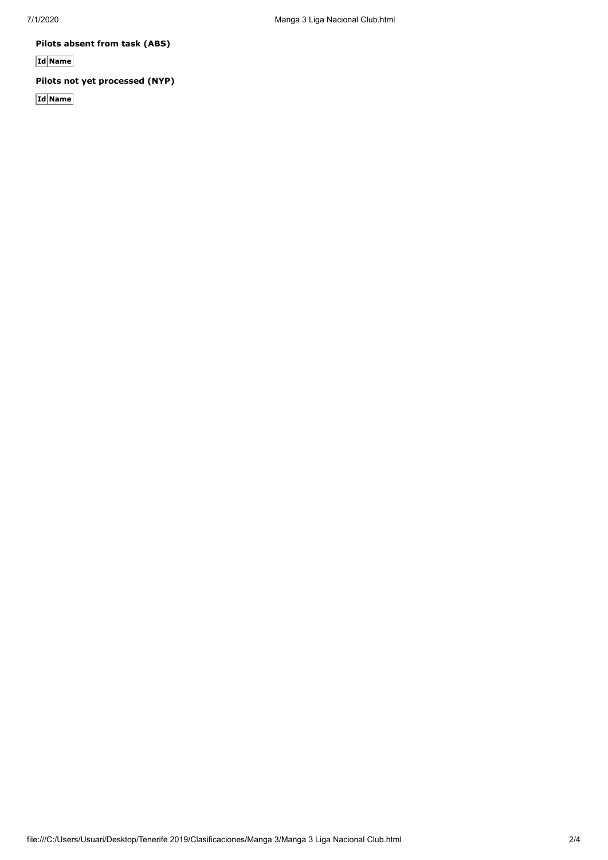**Pilots absent from task (ABS)**

**Id Name**

## **Pilots not yet processed (NYP)**

**Id Name**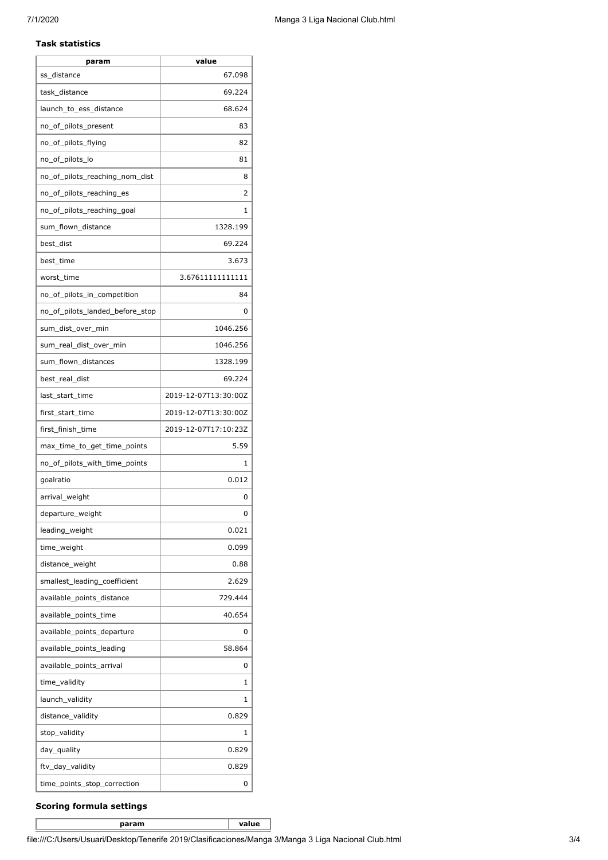#### **Task statistics**

| param                           | value                |
|---------------------------------|----------------------|
| ss distance                     | 67.098               |
| task_distance                   | 69.224               |
| launch_to_ess_distance          | 68.624               |
| no_of_pilots_present            | 83                   |
| no_of_pilots_flying             | 82                   |
| no_of_pilots_lo                 | 81                   |
| no_of_pilots_reaching_nom_dist  | 8                    |
| no_of_pilots_reaching_es        | 2                    |
| no_of_pilots_reaching_goal      | 1                    |
| sum_flown_distance              | 1328.199             |
| best_dist                       | 69.224               |
| best time                       | 3.673                |
| worst time                      | 3.67611111111111     |
| no_of_pilots_in_competition     | 84                   |
| no of pilots landed before stop | 0                    |
| sum dist over min               | 1046.256             |
| sum_real_dist_over_min          | 1046.256             |
| sum_flown_distances             | 1328.199             |
| best_real_dist                  | 69.224               |
| last_start_time                 | 2019-12-07T13:30:00Z |
| first_start_time                | 2019-12-07T13:30:00Z |
| first_finish_time               | 2019-12-07T17:10:23Z |
| max_time_to_get_time_points     | 5.59                 |
| no_of_pilots_with_time_points   | 1                    |
| goalratio                       | 0.012                |
| arrival_weight                  | 0                    |
| departure_weight                | U                    |
| leading_weight                  | 0.021                |
| time_weight                     | 0.099                |
| distance_weight                 | 0.88                 |
| smallest_leading_coefficient    | 2.629                |
| available_points_distance       | 729.444              |
| available_points_time           | 40.654               |
| available_points_departure      | 0                    |
| available_points_leading        | 58.864               |
| available_points_arrival        | 0                    |
| time_validity                   | 1                    |
| launch_validity                 | 1                    |
| distance_validity               | 0.829                |
| stop_validity                   | 1                    |
| day_quality                     | 0.829                |
| ftv_day_validity                | 0.829                |
| time_points_stop_correction     | 0                    |

### **Scoring formula settings**

**param value**